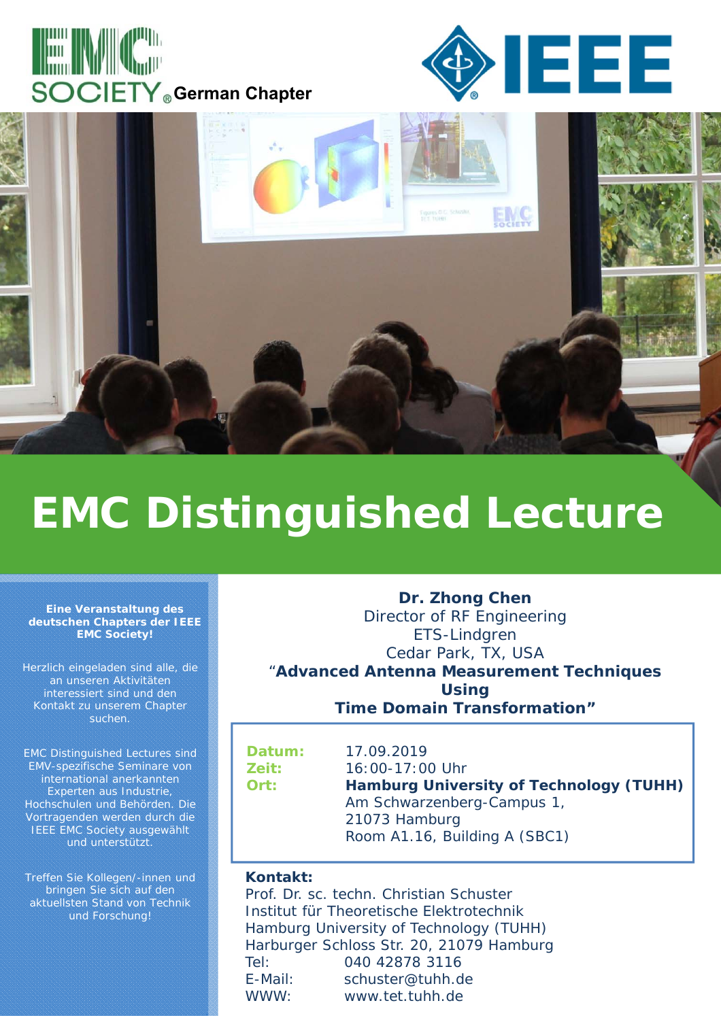





# **EMC Distinguished Lecture**

#### **Eine Veranstaltung des deutschen Chapters der IEEE EMC Society!**

Herzlich eingeladen sind alle, die an unseren Aktivitäten interessiert sind und den Kontakt zu unserem Chapter suchen.

EMC Distinguished Lectures sind EMV-spezifische Seminare von international anerkannten Experten aus Industrie, Hochschulen und Behörden. Die Vortragenden werden durch die IEEE EMC Society ausgewählt und unterstützt.

Treffen Sie Kollegen/-innen und bringen Sie sich auf den aktuellsten Stand von Technik und Forschung!

**Dr. Zhong Chen** Director of RF Engineering ETS-Lindgren Cedar Park, TX, USA "**Advanced Antenna Measurement Techniques Using Time Domain Transformation"**

**Datum:** 17.09.2019 **Zeit:** 16:00-17:00 Uhr **Ort: Hamburg University of Technology (TUHH)** Am Schwarzenberg-Campus 1, 21073 Hamburg Room A1.16, Building A (SBC1)

#### **Kontakt:**

Prof. Dr. sc. techn. Christian Schuster Institut für Theoretische Elektrotechnik Hamburg University of Technology (TUHH) Harburger Schloss Str. 20, 21079 Hamburg Tel: 040 42878 3116 E-Mail: schuster@tuhh.de WWW: www.tet.tuhh.de